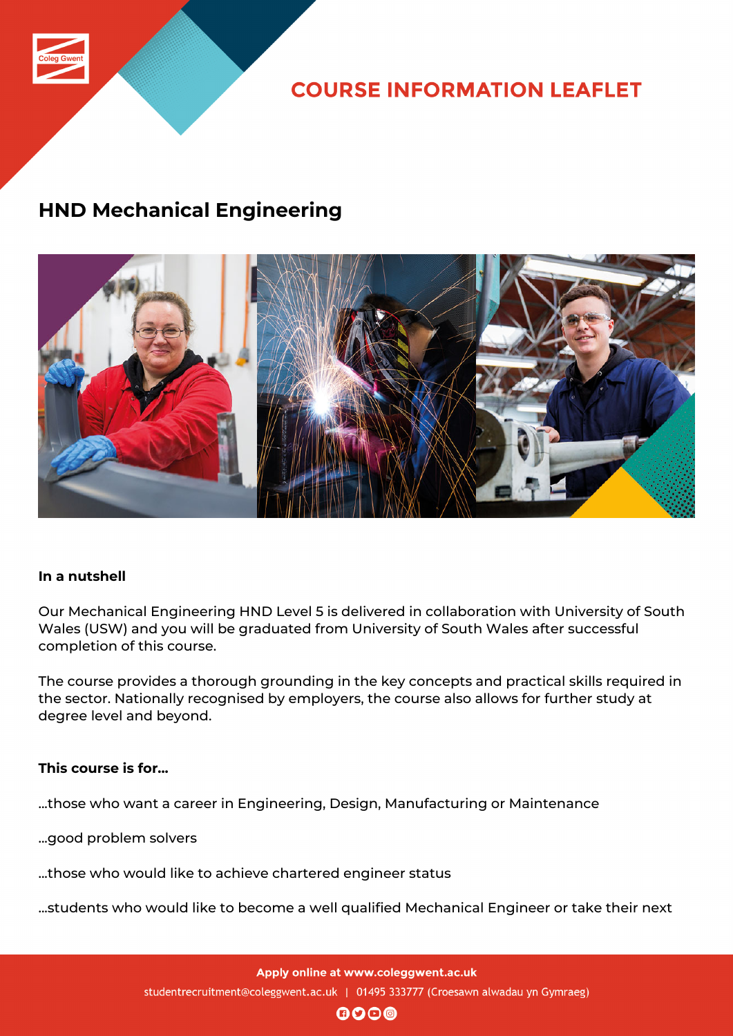

**COURSE INFORMATION LEAFLET** 

## **HND Mechanical Engineering**



## **In a nutshell**

Our Mechanical Engineering HND Level 5 is delivered in collaboration with University of South Wales (USW) and you will be graduated from University of South Wales after successful completion of this course.

The course provides a thorough grounding in the key concepts and practical skills required in the sector. Nationally recognised by employers, the course also allows for further study at degree level and beyond.

## **This course is for...**

...those who want a career in Engineering, Design, Manufacturing or Maintenance

...good problem solvers

...those who would like to achieve chartered engineer status

...students who would like to become a well qualified Mechanical Engineer or take their next

Apply online at www.coleggwent.ac.uk studentrecruitment@coleggwent.ac.uk | 01495 333777 (Croesawn alwadau yn Gymraeg)

 $\mathbf{0}$  $\mathbf{0}$  $\mathbf{0}$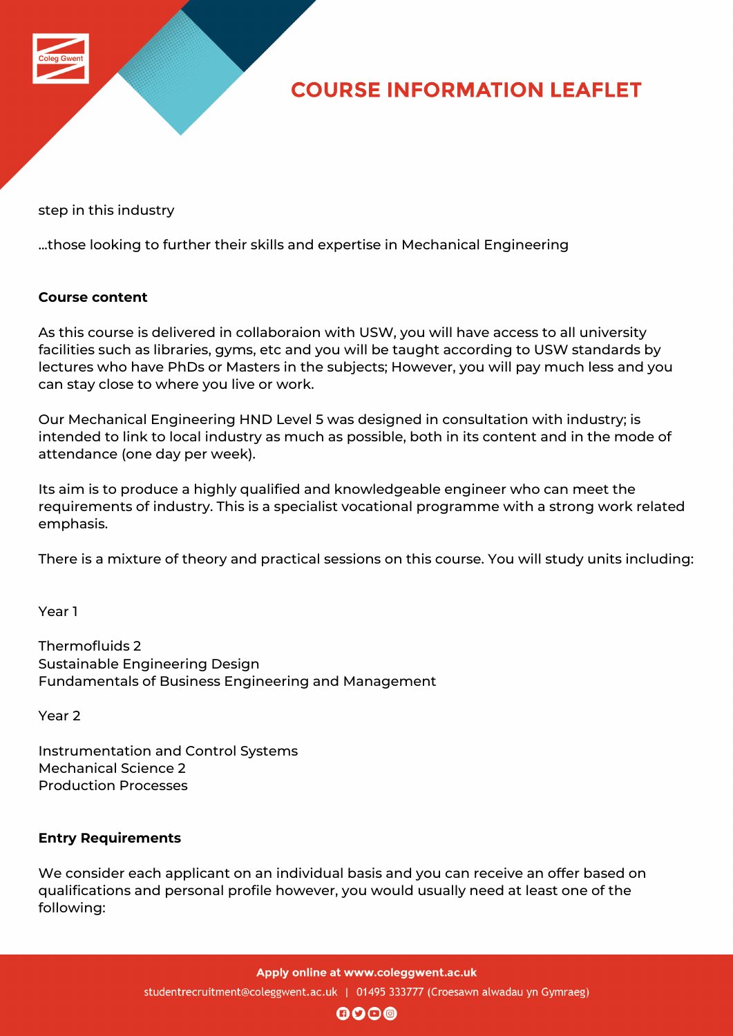

## **COURSE INFORMATION LEAFLET**

step in this industry

...those looking to further their skills and expertise in Mechanical Engineering

#### **Course content**

As this course is delivered in collaboraion with USW, you will have access to all university facilities such as libraries, gyms, etc and you will be taught according to USW standards by lectures who have PhDs or Masters in the subjects; However, you will pay much less and you can stay close to where you live or work.

Our Mechanical Engineering HND Level 5 was designed in consultation with industry; is intended to link to local industry as much as possible, both in its content and in the mode of attendance (one day per week).

Its aim is to produce a highly qualified and knowledgeable engineer who can meet the requirements of industry. This is a specialist vocational programme with a strong work related emphasis.

There is a mixture of theory and practical sessions on this course. You will study units including:

Year 1

Thermofluids 2 Sustainable Engineering Design Fundamentals of Business Engineering and Management

Year 2

Instrumentation and Control Systems Mechanical Science 2 Production Processes

## **Entry Requirements**

We consider each applicant on an individual basis and you can receive an offer based on qualifications and personal profile however, you would usually need at least one of the following: